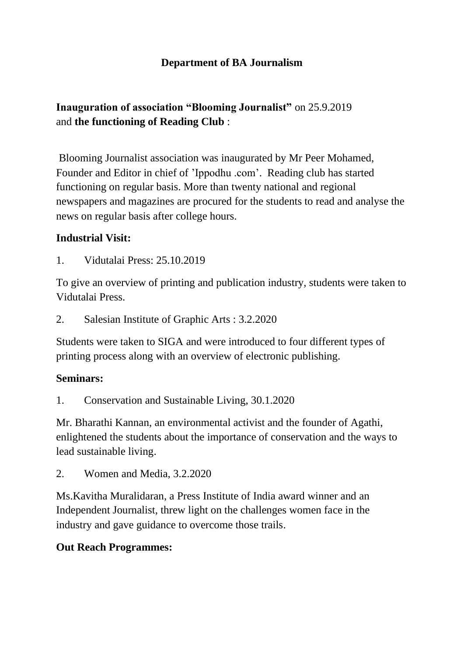## **Department of BA Journalism**

# **Inauguration of association "Blooming Journalist"** on 25.9.2019 and **the functioning of Reading Club** :

Blooming Journalist association was inaugurated by Mr Peer Mohamed, Founder and Editor in chief of 'Ippodhu .com'. Reading club has started functioning on regular basis. More than twenty national and regional newspapers and magazines are procured for the students to read and analyse the news on regular basis after college hours.

## **Industrial Visit:**

1. Vidutalai Press: 25.10.2019

To give an overview of printing and publication industry, students were taken to Vidutalai Press.

2. Salesian Institute of Graphic Arts : 3.2.2020

Students were taken to SIGA and were introduced to four different types of printing process along with an overview of electronic publishing.

#### **Seminars:**

1. Conservation and Sustainable Living, 30.1.2020

Mr. Bharathi Kannan, an environmental activist and the founder of Agathi, enlightened the students about the importance of conservation and the ways to lead sustainable living.

2. Women and Media, 3.2.2020

Ms.Kavitha Muralidaran, a Press Institute of India award winner and an Independent Journalist, threw light on the challenges women face in the industry and gave guidance to overcome those trails.

#### **Out Reach Programmes:**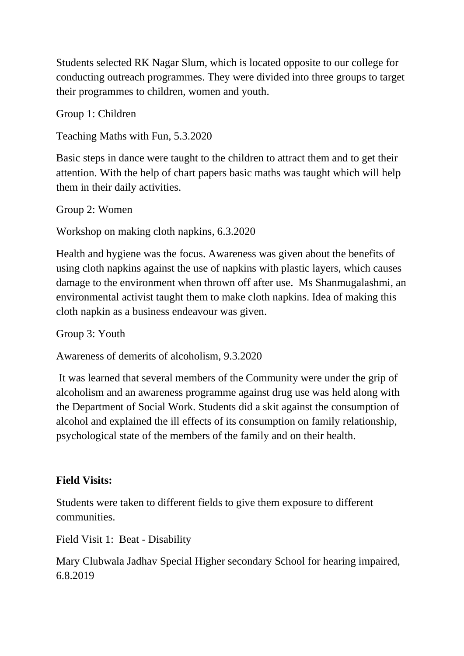Students selected RK Nagar Slum, which is located opposite to our college for conducting outreach programmes. They were divided into three groups to target their programmes to children, women and youth.

Group 1: Children

Teaching Maths with Fun, 5.3.2020

Basic steps in dance were taught to the children to attract them and to get their attention. With the help of chart papers basic maths was taught which will help them in their daily activities.

Group 2: Women

Workshop on making cloth napkins, 6.3.2020

Health and hygiene was the focus. Awareness was given about the benefits of using cloth napkins against the use of napkins with plastic layers, which causes damage to the environment when thrown off after use. Ms Shanmugalashmi, an environmental activist taught them to make cloth napkins. Idea of making this cloth napkin as a business endeavour was given.

Group 3: Youth

Awareness of demerits of alcoholism, 9.3.2020

It was learned that several members of the Community were under the grip of alcoholism and an awareness programme against drug use was held along with the Department of Social Work. Students did a skit against the consumption of alcohol and explained the ill effects of its consumption on family relationship, psychological state of the members of the family and on their health.

## **Field Visits:**

Students were taken to different fields to give them exposure to different communities.

Field Visit 1: Beat - Disability

Mary Clubwala Jadhav Special Higher secondary School for hearing impaired, 6.8.2019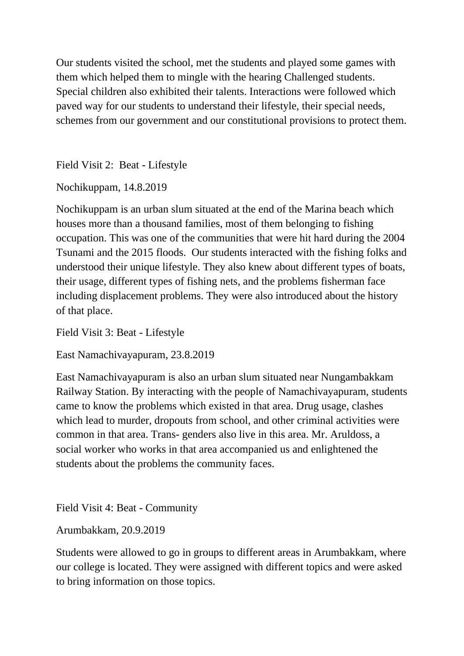Our students visited the school, met the students and played some games with them which helped them to mingle with the hearing Challenged students. Special children also exhibited their talents. Interactions were followed which paved way for our students to understand their lifestyle, their special needs, schemes from our government and our constitutional provisions to protect them.

Field Visit 2: Beat - Lifestyle

Nochikuppam, 14.8.2019

Nochikuppam is an urban slum situated at the end of the Marina beach which houses more than a thousand families, most of them belonging to fishing occupation. This was one of the communities that were hit hard during the 2004 Tsunami and the 2015 floods. Our students interacted with the fishing folks and understood their unique lifestyle. They also knew about different types of boats, their usage, different types of fishing nets, and the problems fisherman face including displacement problems. They were also introduced about the history of that place.

Field Visit 3: Beat - Lifestyle

East Namachivayapuram, 23.8.2019

East Namachivayapuram is also an urban slum situated near Nungambakkam Railway Station. By interacting with the people of Namachivayapuram, students came to know the problems which existed in that area. Drug usage, clashes which lead to murder, dropouts from school, and other criminal activities were common in that area. Trans- genders also live in this area. Mr. Aruldoss, a social worker who works in that area accompanied us and enlightened the students about the problems the community faces.

Field Visit 4: Beat - Community

Arumbakkam, 20.9.2019

Students were allowed to go in groups to different areas in Arumbakkam, where our college is located. They were assigned with different topics and were asked to bring information on those topics.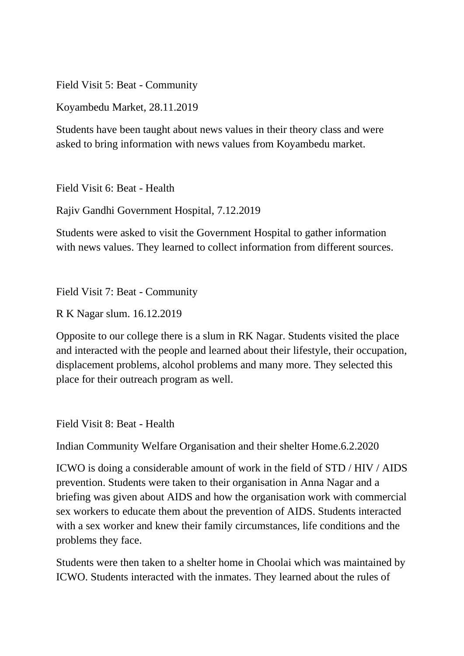Field Visit 5: Beat - Community

Koyambedu Market, 28.11.2019

Students have been taught about news values in their theory class and were asked to bring information with news values from Koyambedu market.

Field Visit 6: Beat - Health

Rajiv Gandhi Government Hospital, 7.12.2019

Students were asked to visit the Government Hospital to gather information with news values. They learned to collect information from different sources.

Field Visit 7: Beat - Community

R K Nagar slum. 16.12.2019

Opposite to our college there is a slum in RK Nagar. Students visited the place and interacted with the people and learned about their lifestyle, their occupation, displacement problems, alcohol problems and many more. They selected this place for their outreach program as well.

Field Visit 8: Beat - Health

Indian Community Welfare Organisation and their shelter Home.6.2.2020

ICWO is doing a considerable amount of work in the field of STD / HIV / AIDS prevention. Students were taken to their organisation in Anna Nagar and a briefing was given about AIDS and how the organisation work with commercial sex workers to educate them about the prevention of AIDS. Students interacted with a sex worker and knew their family circumstances, life conditions and the problems they face.

Students were then taken to a shelter home in Choolai which was maintained by ICWO. Students interacted with the inmates. They learned about the rules of